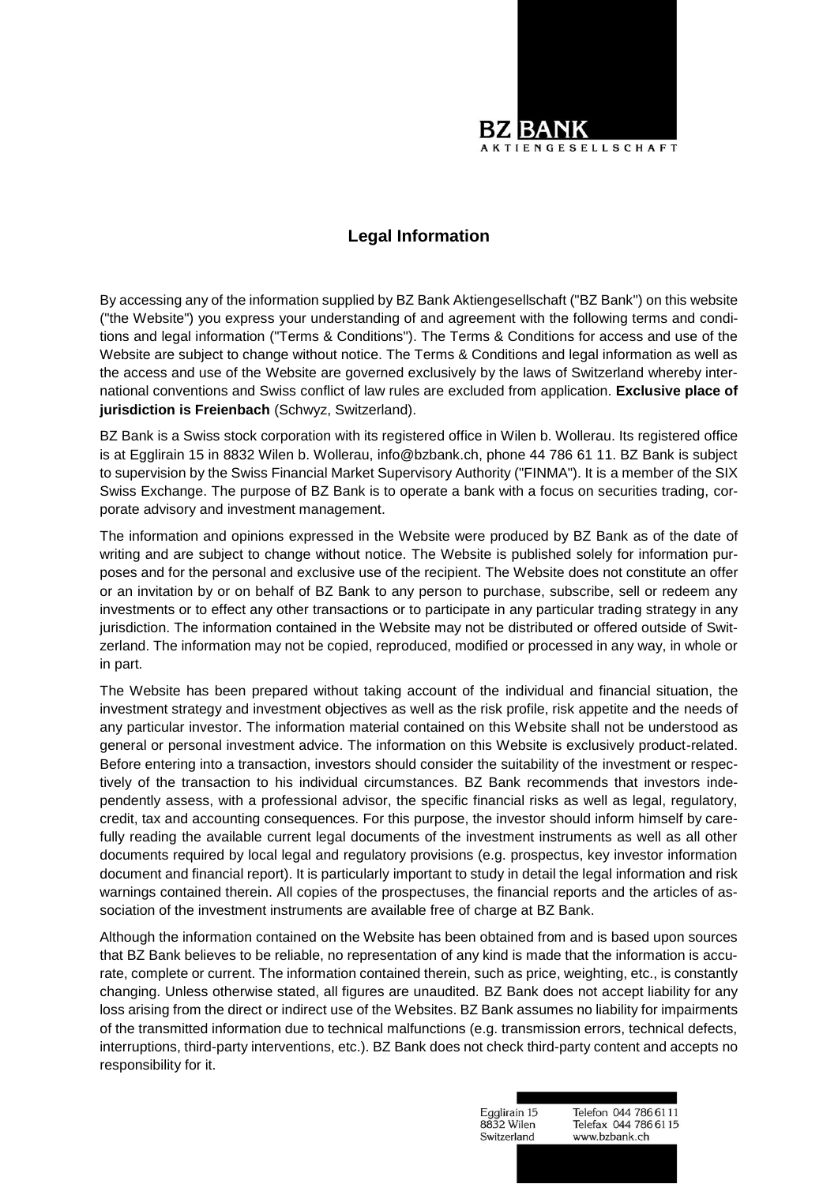

## **Legal Information**

By accessing any of the information supplied by BZ Bank Aktiengesellschaft ("BZ Bank") on this website ("the Website") you express your understanding of and agreement with the following terms and conditions and legal information ("Terms & Conditions"). The Terms & Conditions for access and use of the Website are subject to change without notice. The Terms & Conditions and legal information as well as the access and use of the Website are governed exclusively by the laws of Switzerland whereby international conventions and Swiss conflict of law rules are excluded from application. **Exclusive place of jurisdiction is Freienbach** (Schwyz, Switzerland).

BZ Bank is a Swiss stock corporation with its registered office in Wilen b. Wollerau. Its registered office is at Egglirain 15 in 8832 Wilen b. Wollerau, info@bzbank.ch, phone 44 786 61 11. BZ Bank is subject to supervision by the Swiss Financial Market Supervisory Authority ("FINMA"). It is a member of the SIX Swiss Exchange. The purpose of BZ Bank is to operate a bank with a focus on securities trading, corporate advisory and investment management.

The information and opinions expressed in the Website were produced by BZ Bank as of the date of writing and are subject to change without notice. The Website is published solely for information purposes and for the personal and exclusive use of the recipient. The Website does not constitute an offer or an invitation by or on behalf of BZ Bank to any person to purchase, subscribe, sell or redeem any investments or to effect any other transactions or to participate in any particular trading strategy in any jurisdiction. The information contained in the Website may not be distributed or offered outside of Switzerland. The information may not be copied, reproduced, modified or processed in any way, in whole or in part.

The Website has been prepared without taking account of the individual and financial situation, the investment strategy and investment objectives as well as the risk profile, risk appetite and the needs of any particular investor. The information material contained on this Website shall not be understood as general or personal investment advice. The information on this Website is exclusively product-related. Before entering into a transaction, investors should consider the suitability of the investment or respectively of the transaction to his individual circumstances. BZ Bank recommends that investors independently assess, with a professional advisor, the specific financial risks as well as legal, regulatory, credit, tax and accounting consequences. For this purpose, the investor should inform himself by carefully reading the available current legal documents of the investment instruments as well as all other documents required by local legal and regulatory provisions (e.g. prospectus, key investor information document and financial report). It is particularly important to study in detail the legal information and risk warnings contained therein. All copies of the prospectuses, the financial reports and the articles of association of the investment instruments are available free of charge at BZ Bank.

Although the information contained on the Website has been obtained from and is based upon sources that BZ Bank believes to be reliable, no representation of any kind is made that the information is accurate, complete or current. The information contained therein, such as price, weighting, etc., is constantly changing. Unless otherwise stated, all figures are unaudited. BZ Bank does not accept liability for any loss arising from the direct or indirect use of the Websites. BZ Bank assumes no liability for impairments of the transmitted information due to technical malfunctions (e.g. transmission errors, technical defects, interruptions, third-party interventions, etc.). BZ Bank does not check third-party content and accepts no responsibility for it.

> Egglirain 15 Telefon 044 786 6111 8832 Wilen Telefax 044 786 61 15 Switzerland www.bzbank.ch